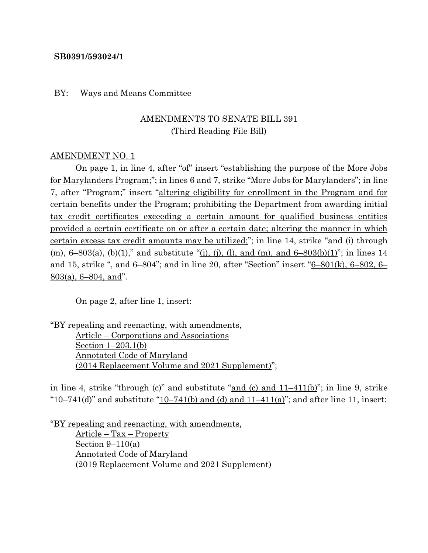#### **SB0391/593024/1**

#### BY: Ways and Means Committee

### AMENDMENTS TO SENATE BILL 391 (Third Reading File Bill)

#### AMENDMENT NO. 1

On page 1, in line 4, after "of" insert "establishing the purpose of the More Jobs for Marylanders Program;"; in lines 6 and 7, strike "More Jobs for Marylanders"; in line 7, after "Program;" insert "altering eligibility for enrollment in the Program and for certain benefits under the Program; prohibiting the Department from awarding initial tax credit certificates exceeding a certain amount for qualified business entities provided a certain certificate on or after a certain date; altering the manner in which certain excess tax credit amounts may be utilized;"; in line 14, strike "and (i) through (m),  $6-803(a)$ , (b)(1)," and substitute "(i), (j), (l), and (m), and  $6-803(b)(1)$ "; in lines 14 and 15, strike ", and 6–804"; and in line 20, after "Section" insert "6–801(k), 6–802, 6– 803(a), 6–804, and".

On page 2, after line 1, insert:

"BY repealing and reenacting, with amendments, Article – Corporations and Associations Section 1–203.1(b) Annotated Code of Maryland (2014 Replacement Volume and 2021 Supplement)";

in line 4, strike "through (c)" and substitute " $\frac{\text{and (c) and 11-411(b)}}{\text{and (b)}}$ "; in line 9, strike " $10-741$ (d)" and substitute " $10-741$ (b) and  $(d)$  and  $11-411$ (a)"; and after line 11, insert:

"BY repealing and reenacting, with amendments, Article – Tax – Property Section  $9-110(a)$ Annotated Code of Maryland (2019 Replacement Volume and 2021 Supplement)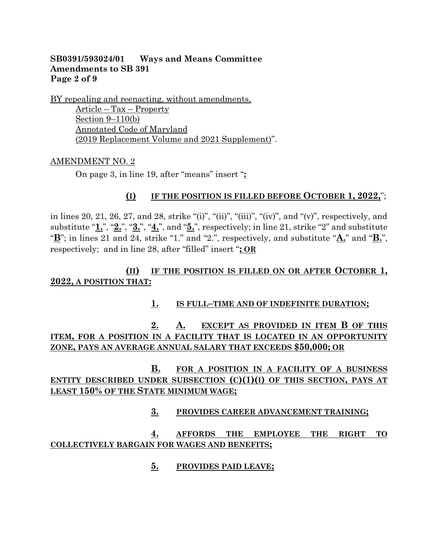### **SB0391/593024/01 Ways and Means Committee Amendments to SB 391 Page 2 of 9**

BY repealing and reenacting, without amendments,

Article – Tax – Property Section 9–110(b) Annotated Code of Maryland (2019 Replacement Volume and 2021 Supplement)".

### AMENDMENT NO. 2

On page 3, in line 19, after "means" insert "**:**

### **(I) IF THE POSITION IS FILLED BEFORE OCTOBER 1, 2022,**";

in lines 20, 21, 26, 27, and 28, strike "(i)", "(ii)", "(iii)", "(iv)", and "(v)", respectively, and substitute "**1.**", "**2.**", "**3.**", "**4.**", and "**5.**", respectively; in line 21, strike "2" and substitute "**B**"; in lines 21 and 24, strike "1." and "2.", respectively, and substitute "**A.**" and "**B.**", respectively; and in line 28, after "filled" insert "**; OR**

### **(II) IF THE POSITION IS FILLED ON OR AFTER OCTOBER 1, 2022, A POSITION THAT:**

### **1. IS FULL–TIME AND OF INDEFINITE DURATION;**

**2. A. EXCEPT AS PROVIDED IN ITEM B OF THIS ITEM, FOR A POSITION IN A FACILITY THAT IS LOCATED IN AN OPPORTUNITY ZONE, PAYS AN AVERAGE ANNUAL SALARY THAT EXCEEDS \$50,000; OR**

## **B. FOR A POSITION IN A FACILITY OF A BUSINESS ENTITY DESCRIBED UNDER SUBSECTION (C)(1)(I) OF THIS SECTION, PAYS AT LEAST 150% OF THE STATE MINIMUM WAGE;**

### **3. PROVIDES CAREER ADVANCEMENT TRAINING;**

### **4. AFFORDS THE EMPLOYEE THE RIGHT TO COLLECTIVELY BARGAIN FOR WAGES AND BENEFITS;**

**5. PROVIDES PAID LEAVE;**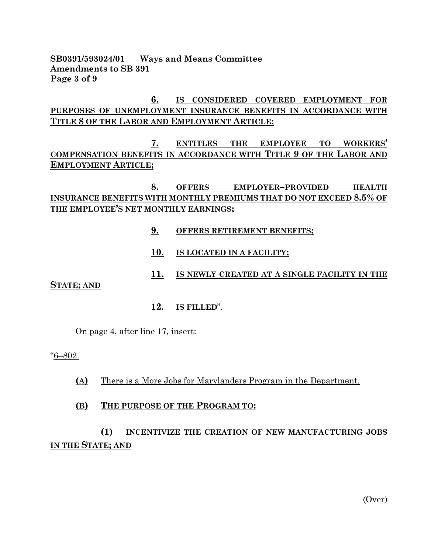**SB0391/593024/01 Ways and Means Committee Amendments to SB 391 Page 3 of 9**

### **6. IS CONSIDERED COVERED EMPLOYMENT FOR PURPOSES OF UNEMPLOYMENT INSURANCE BENEFITS IN ACCORDANCE WITH TITLE 8 OF THE LABOR AND EMPLOYMENT ARTICLE;**

**7. ENTITLES THE EMPLOYEE TO WORKERS' COMPENSATION BENEFITS IN ACCORDANCE WITH TITLE 9 OF THE LABOR AND EMPLOYMENT ARTICLE;**

### **8. OFFERS EMPLOYER–PROVIDED HEALTH INSURANCE BENEFITS WITH MONTHLY PREMIUMS THAT DO NOT EXCEED 8.5% OF THE EMPLOYEE'S NET MONTHLY EARNINGS;**

- **9. OFFERS RETIREMENT BENEFITS;**
- **10. IS LOCATED IN A FACILITY;**

### **11. IS NEWLY CREATED AT A SINGLE FACILITY IN THE**

**STATE; AND**

**12. IS FILLED**".

On page 4, after line 17, insert:

"6–802.

**(A)** There is a More Jobs for Marylanders Program in the Department.

#### **(B) THE PURPOSE OF THE PROGRAM TO:**

## **(1) INCENTIVIZE THE CREATION OF NEW MANUFACTURING JOBS IN THE STATE; AND**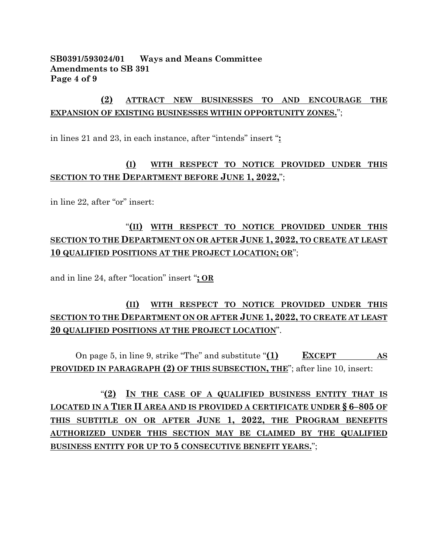### **SB0391/593024/01 Ways and Means Committee Amendments to SB 391 Page 4 of 9**

## **(2) ATTRACT NEW BUSINESSES TO AND ENCOURAGE THE EXPANSION OF EXISTING BUSINESSES WITHIN OPPORTUNITY ZONES.**";

in lines 21 and 23, in each instance, after "intends" insert "**:**

## **(I) WITH RESPECT TO NOTICE PROVIDED UNDER THIS SECTION TO THE DEPARTMENT BEFORE JUNE 1, 2022,**";

in line 22, after "or" insert:

# "**(II) WITH RESPECT TO NOTICE PROVIDED UNDER THIS SECTION TO THE DEPARTMENT ON OR AFTER JUNE 1, 2022, TO CREATE AT LEAST 10 QUALIFIED POSITIONS AT THE PROJECT LOCATION; OR**";

and in line 24, after "location" insert "**; OR**

# **(II) WITH RESPECT TO NOTICE PROVIDED UNDER THIS SECTION TO THE DEPARTMENT ON OR AFTER JUNE 1, 2022, TO CREATE AT LEAST 20 QUALIFIED POSITIONS AT THE PROJECT LOCATION**".

On page 5, in line 9, strike "The" and substitute "**(1) EXCEPT AS PROVIDED IN PARAGRAPH (2) OF THIS SUBSECTION, THE**"; after line 10, insert:

"**(2) IN THE CASE OF A QUALIFIED BUSINESS ENTITY THAT IS LOCATED IN A TIER II AREA AND IS PROVIDED A CERTIFICATE UNDER § 6–805 OF THIS SUBTITLE ON OR AFTER JUNE 1, 2022, THE PROGRAM BENEFITS AUTHORIZED UNDER THIS SECTION MAY BE CLAIMED BY THE QUALIFIED BUSINESS ENTITY FOR UP TO 5 CONSECUTIVE BENEFIT YEARS.**";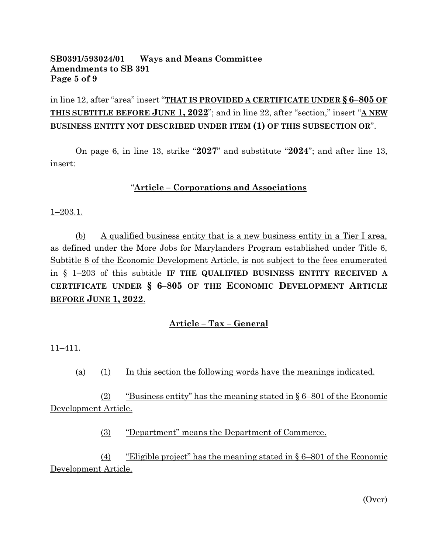### **SB0391/593024/01 Ways and Means Committee Amendments to SB 391 Page 5 of 9**

in line 12, after "area" insert "**THAT IS PROVIDED A CERTIFICATE UNDER § 6–805 OF THIS SUBTITLE BEFORE JUNE 1, 2022**"; and in line 22, after "section," insert "**A NEW BUSINESS ENTITY NOT DESCRIBED UNDER ITEM (1) OF THIS SUBSECTION OR**".

On page 6, in line 13, strike "**2027**" and substitute "**2024**"; and after line 13, insert:

### "**Article – Corporations and Associations**

1–203.1.

(b) A qualified business entity that is a new business entity in a Tier I area, as defined under the More Jobs for Marylanders Program established under Title 6, Subtitle 8 of the Economic Development Article, is not subject to the fees enumerated in § 1–203 of this subtitle **IF THE QUALIFIED BUSINESS ENTITY RECEIVED A CERTIFICATE UNDER § 6–805 OF THE ECONOMIC DEVELOPMENT ARTICLE BEFORE JUNE 1, 2022**.

### **Article – Tax – General**

11–411.

(a) (1) In this section the following words have the meanings indicated.

(2) "Business entity" has the meaning stated in § 6–801 of the Economic Development Article.

(3) "Department" means the Department of Commerce.

(4) "Eligible project" has the meaning stated in § 6–801 of the Economic Development Article.

(Over)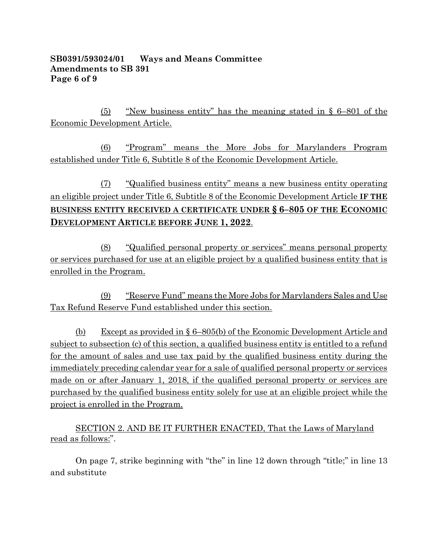### **SB0391/593024/01 Ways and Means Committee Amendments to SB 391 Page 6 of 9**

(5) "New business entity" has the meaning stated in § 6–801 of the Economic Development Article.

(6) "Program" means the More Jobs for Marylanders Program established under Title 6, Subtitle 8 of the Economic Development Article.

(7) "Qualified business entity" means a new business entity operating an eligible project under Title 6, Subtitle 8 of the Economic Development Article **IF THE BUSINESS ENTITY RECEIVED A CERTIFICATE UNDER § 6–805 OF THE ECONOMIC DEVELOPMENT ARTICLE BEFORE JUNE 1, 2022**.

(8) "Qualified personal property or services" means personal property or services purchased for use at an eligible project by a qualified business entity that is enrolled in the Program.

(9) "Reserve Fund" means the More Jobs for Marylanders Sales and Use Tax Refund Reserve Fund established under this section.

(b) Except as provided in § 6–805(b) of the Economic Development Article and subject to subsection (c) of this section, a qualified business entity is entitled to a refund for the amount of sales and use tax paid by the qualified business entity during the immediately preceding calendar year for a sale of qualified personal property or services made on or after January 1, 2018, if the qualified personal property or services are purchased by the qualified business entity solely for use at an eligible project while the project is enrolled in the Program.

SECTION 2. AND BE IT FURTHER ENACTED, That the Laws of Maryland read as follows:".

On page 7, strike beginning with "the" in line 12 down through "title;" in line 13 and substitute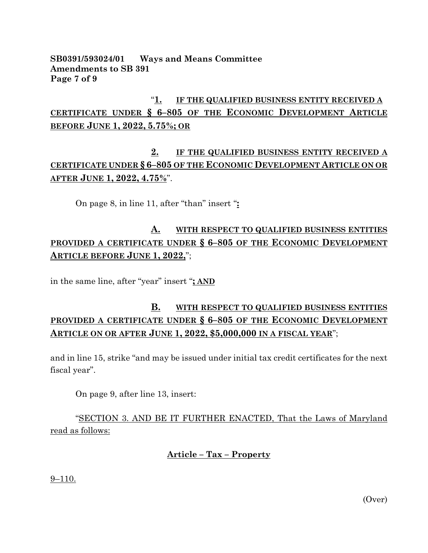### **SB0391/593024/01 Ways and Means Committee Amendments to SB 391 Page 7 of 9**

# "**1. IF THE QUALIFIED BUSINESS ENTITY RECEIVED A CERTIFICATE UNDER § 6–805 OF THE ECONOMIC DEVELOPMENT ARTICLE BEFORE JUNE 1, 2022, 5.75%; OR**

## **2. IF THE QUALIFIED BUSINESS ENTITY RECEIVED A CERTIFICATE UNDER § 6–805 OF THE ECONOMIC DEVELOPMENT ARTICLE ON OR AFTER JUNE 1, 2022, 4.75%**".

On page 8, in line 11, after "than" insert "**:**

# **A. WITH RESPECT TO QUALIFIED BUSINESS ENTITIES PROVIDED A CERTIFICATE UNDER § 6–805 OF THE ECONOMIC DEVELOPMENT ARTICLE BEFORE JUNE 1, 2022,**";

in the same line, after "year" insert "**; AND**

# **B. WITH RESPECT TO QUALIFIED BUSINESS ENTITIES PROVIDED A CERTIFICATE UNDER § 6–805 OF THE ECONOMIC DEVELOPMENT ARTICLE ON OR AFTER JUNE 1, 2022, \$5,000,000 IN A FISCAL YEAR**";

and in line 15, strike "and may be issued under initial tax credit certificates for the next fiscal year".

On page 9, after line 13, insert:

"SECTION 3. AND BE IT FURTHER ENACTED, That the Laws of Maryland read as follows:

## **Article – Tax – Property**

9–110.

(Over)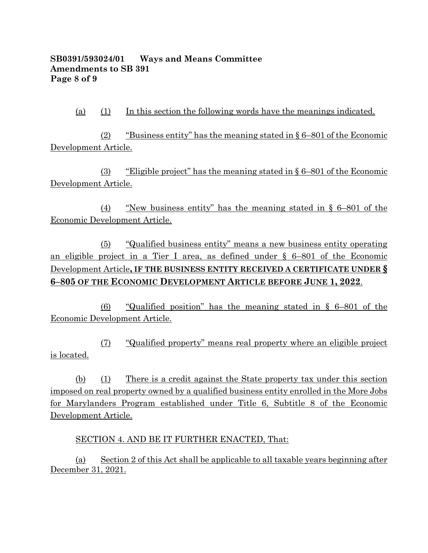### **SB0391/593024/01 Ways and Means Committee Amendments to SB 391 Page 8 of 9**

(a) (1) In this section the following words have the meanings indicated.

(2) "Business entity" has the meaning stated in § 6–801 of the Economic Development Article.

(3) "Eligible project" has the meaning stated in § 6–801 of the Economic Development Article.

(4) "New business entity" has the meaning stated in § 6–801 of the Economic Development Article.

(5) "Qualified business entity" means a new business entity operating an eligible project in a Tier I area, as defined under § 6–801 of the Economic Development Article**, IF THE BUSINESS ENTITY RECEIVED A CERTIFICATE UNDER § 6–805 OF THE ECONOMIC DEVELOPMENT ARTICLE BEFORE JUNE 1, 2022**.

(6) "Qualified position" has the meaning stated in § 6–801 of the Economic Development Article.

(7) "Qualified property" means real property where an eligible project is located.

(b) (1) There is a credit against the State property tax under this section imposed on real property owned by a qualified business entity enrolled in the More Jobs for Marylanders Program established under Title 6, Subtitle 8 of the Economic Development Article.

SECTION 4. AND BE IT FURTHER ENACTED, That:

(a) Section 2 of this Act shall be applicable to all taxable years beginning after December 31, 2021.